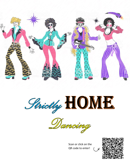





Scan or click on the QR code to enter!

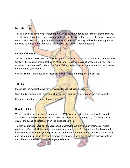# **Introduction**

This is a booklet containing everything you need to know about our "Strictly Home Dancing" virtual event. It contains choreography and a list of the skills that you might consider using in your routine. We are going to time travel through the 20<sup>th</sup> Century and we hope this guide will help you to create a dance routine that reflects the style of a certain decade.

### **Format of the event**

This virtual event allows you to choreograph and perform a dance from a decade from the 20<sup>th</sup> Century. The routine should last up to 45 seconds. Once you have choreographed your routine to perfection, use the QR code on the front of this booklet to enter the event and to let us know where to find your video.

Once all submissions have been received, we will create a montage of the entries.

#### **The Rules**

Please use the music that we have provided for your chosen decade.

Copy the two sets of eight counts of choreography and then choreograph the rest yourself.

Routines should be no longer than 45 seconds.

### **Decades of dance**

We are starting our time travel journey in the 1900's and we will visit every decade from the 50's up until 2000. You may pick which ever decade suits you! You might go for the modern day, or the swinging sixties, or even the disco dancing 70's.

To get you started, check out the videos CGS Outreach have provided on their social media platforms. Watch all of the videos before making your choice. Pick your favourite, learn the first eight counts provided for you to provide the foundation for your routine. In terms of costumes and make-up, be as expressive and creative as you want; these are all factors that will help us visualise and understand your choreographed dance.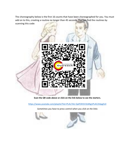The choreography below is the first 16 counts that have been choreographed for you. You must add on to this, creating a routine no longer than 45 seconds. You can find the routines by scanning this code:



**Scan the QR code above or click on the link below to see the starters.**

<https://www.youtube.com/playlist?list=PLAL7AU-QaFEXh5V3zMig1PLAC2tApg5LX>

*Sometimes you have to press control when you click on the links*